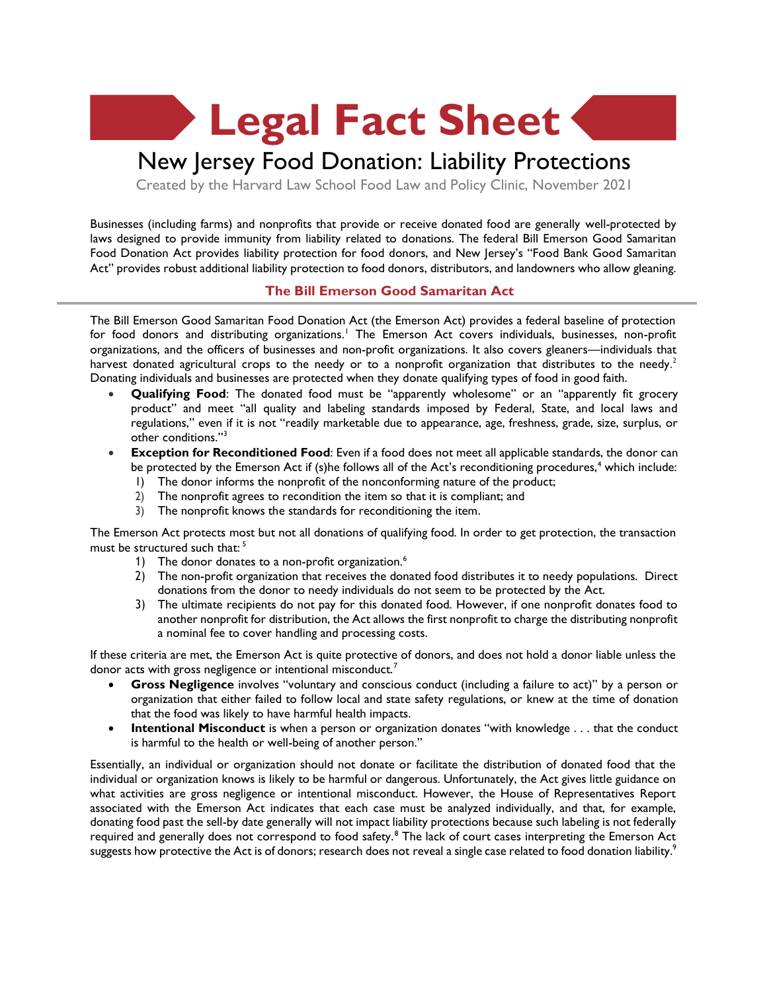**Legal Fact Sheet**

# New Jersey Food Donation: Liability Protections

Created by the Harvard Law School Food Law and Policy Clinic, November 2021

Businesses (including farms) and nonprofits that provide or receive donated food are generally well-protected by laws designed to provide immunity from liability related to donations. The federal Bill Emerson Good Samaritan Food Donation Act provides liability protection for food donors, and New Jersey's "Food Bank Good Samaritan Act" provides robust additional liability protection to food donors, distributors, and landowners who allow gleaning.

#### **The Bill Emerson Good Samaritan Act**

The Bill Emerson Good Samaritan Food Donation Act (the Emerson Act) provides a federal baseline of protection for food donors and distributing organizations.<sup>1</sup> The Emerson Act covers individuals, businesses, non-profit organizations, and the officers of businesses and non-profit organizations. It also covers gleaners—individuals that harvest donated agricultural crops to the needy or to a nonprofit organization that distributes to the needy.<sup>2</sup> Donating individuals and businesses are protected when they donate qualifying types of food in good faith.

- **Qualifying Food**: The donated food must be "apparently wholesome" or an "apparently fit grocery product" and meet "all quality and labeling standards imposed by Federal, State, and local laws and regulations," even if it is not "readily marketable due to appearance, age, freshness, grade, size, surplus, or other conditions."<sup>3</sup>
- **Exception for Reconditioned Food**: Even if a food does not meet all applicable standards, the donor can be protected by the Emerson Act if (s)he follows all of the Act's reconditioning procedures,<sup>4</sup> which include:
	- 1) The donor informs the nonprofit of the nonconforming nature of the product;
	- 2) The nonprofit agrees to recondition the item so that it is compliant; and
	- 3) The nonprofit knows the standards for reconditioning the item.

The Emerson Act protects most but not all donations of qualifying food. In order to get protection, the transaction must be structured such that:<sup>5</sup>

- 1) The donor donates to a non-profit organization.<sup>6</sup>
- 2) The non-profit organization that receives the donated food distributes it to needy populations. Direct donations from the donor to needy individuals do not seem to be protected by the Act.
- 3) The ultimate recipients do not pay for this donated food. However, if one nonprofit donates food to another nonprofit for distribution, the Act allows the first nonprofit to charge the distributing nonprofit a nominal fee to cover handling and processing costs.

If these criteria are met, the Emerson Act is quite protective of donors, and does not hold a donor liable unless the donor acts with gross negligence or intentional misconduct.<sup>7</sup>

- **Gross Negligence** involves "voluntary and conscious conduct (including a failure to act)" by a person or organization that either failed to follow local and state safety regulations, or knew at the time of donation that the food was likely to have harmful health impacts.
- **Intentional Misconduct** is when a person or organization donates "with knowledge . . . that the conduct is harmful to the health or well-being of another person."

Essentially, an individual or organization should not donate or facilitate the distribution of donated food that the individual or organization knows is likely to be harmful or dangerous. Unfortunately, the Act gives little guidance on what activities are gross negligence or intentional misconduct. However, the House of Representatives Report associated with the Emerson Act indicates that each case must be analyzed individually, and that, for example, donating food past the sell-by date generally will not impact liability protections because such labeling is not federally required and generally does not correspond to food safety.<sup>8</sup> The lack of court cases interpreting the Emerson Act suggests how protective the Act is of donors; research does not reveal a single case related to food donation liability.<sup>9</sup>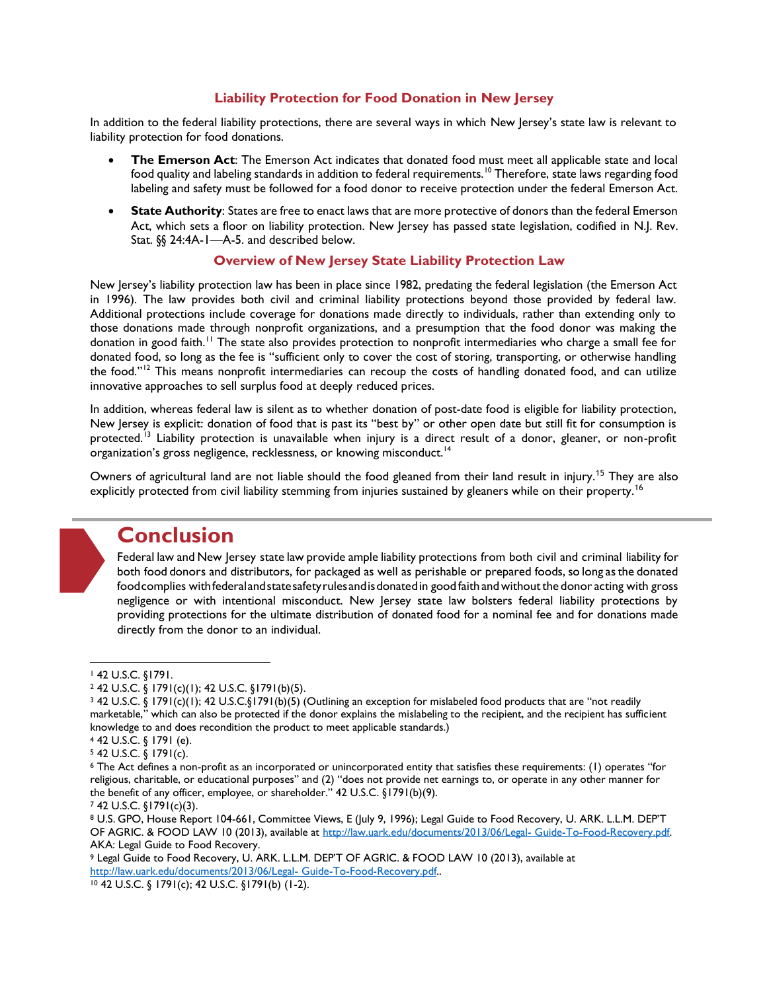#### **Liability Protection for Food Donation in New Jersey**

In addition to the federal liability protections, there are several ways in which New Jersey's state law is relevant to liability protection for food donations.

- **The Emerson Act**: The Emerson Act indicates that donated food must meet all applicable state and local food quality and labeling standards in addition to federal requirements.<sup>10</sup> Therefore, state laws regarding food labeling and safety must be followed for a food donor to receive protection under the federal Emerson Act.
- **State Authority**: States are free to enact laws that are more protective of donors than the federal Emerson Act, which sets a floor on liability protection. New Jersey has passed state legislation, codified in N.J. Rev. Stat. §§ 24:4A-1—A-5. and described below.

### **Overview of New Jersey State Liability Protection Law**

New Jersey's liability protection law has been in place since 1982, predating the federal legislation (the Emerson Act in 1996). The law provides both civil and criminal liability protections beyond those provided by federal law. Additional protections include coverage for donations made directly to individuals, rather than extending only to those donations made through nonprofit organizations, and a presumption that the food donor was making the donation in good faith.<sup>11</sup> The state also provides protection to nonprofit intermediaries who charge a small fee for donated food, so long as the fee is "sufficient only to cover the cost of storing, transporting, or otherwise handling the food."<sup>12</sup> This means nonprofit intermediaries can recoup the costs of handling donated food, and can utilize innovative approaches to sell surplus food at deeply reduced prices.

In addition, whereas federal law is silent as to whether donation of post-date food is eligible for liability protection, New Jersey is explicit: donation of food that is past its "best by" or other open date but still fit for consumption is protected.<sup>13</sup> Liability protection is unavailable when injury is a direct result of a donor, gleaner, or non-profit organization's gross negligence, recklessness, or knowing misconduct.<sup>14</sup>

Owners of agricultural land are not liable should the food gleaned from their land result in injury.<sup>15</sup> They are also explicitly protected from civil liability stemming from injuries sustained by gleaners while on their property.<sup>16</sup>



## **Conclusion**

Federal law and New Jersey state law provide ample liability protections from both civil and criminal liability for both food donors and distributors, for packaged as well as perishable or prepared foods, so long as the donated foodcomplies with federal and state safety rules and is donated in good faith and without the donor acting with gross negligence or with intentional misconduct. New Jersey state law bolsters federal liability protections by providing protections for the ultimate distribution of donated food for a nominal fee and for donations made directly from the donor to an individual.

<sup>9</sup> Legal Guide to Food Recovery, U. ARK. L.L.M. DEP'T OF AGRIC. & FOOD LAW 10 (2013), available at [http://law.uark.edu/documents/2013/06/Legal-](http://law.uark.edu/documents/2013/06/Legal-%20Guide-To-Food-Recovery.pdf) Guide-To-Food-Recovery.pdf..

<sup>10</sup> 42 U.S.C. § 1791(c); 42 U.S.C. §1791(b) (1-2).

<sup>1</sup> 42 U.S.C. §1791.

<sup>2</sup> 42 U.S.C. § 1791(c)(1); 42 U.S.C. §1791(b)(5).

<sup>3</sup> 42 U.S.C. § 1791(c)(1); 42 U.S.C.§1791(b)(5) (Outlining an exception for mislabeled food products that are "not readily marketable," which can also be protected if the donor explains the mislabeling to the recipient, and the recipient has sufficient knowledge to and does recondition the product to meet applicable standards.)

<sup>4</sup> 42 U.S.C. § 1791 (e).

<sup>5</sup> 42 U.S.C. § 1791(c).

<sup>6</sup> The Act defines a non-profit as an incorporated or unincorporated entity that satisfies these requirements: (1) operates "for religious, charitable, or educational purposes" and (2) "does not provide net earnings to, or operate in any other manner for the benefit of any officer, employee, or shareholder." 42 U.S.C. §1791(b)(9).

<sup>7</sup> 42 U.S.C. §1791(c)(3).

<sup>8</sup> U.S. GPO, House Report 104-661, Committee Views, E (July 9, 1996); Legal Guide to Food Recovery, U. ARK. L.L.M. DEP'T OF AGRIC. & FOOD LAW 10 (2013), available at [http://law.uark.edu/documents/2013/06/Legal-](http://law.uark.edu/documents/2013/06/Legal-%20Guide-To-Food-Recovery.pdf) Guide-To-Food-Recovery.pdf. AKA: Legal Guide to Food Recovery.